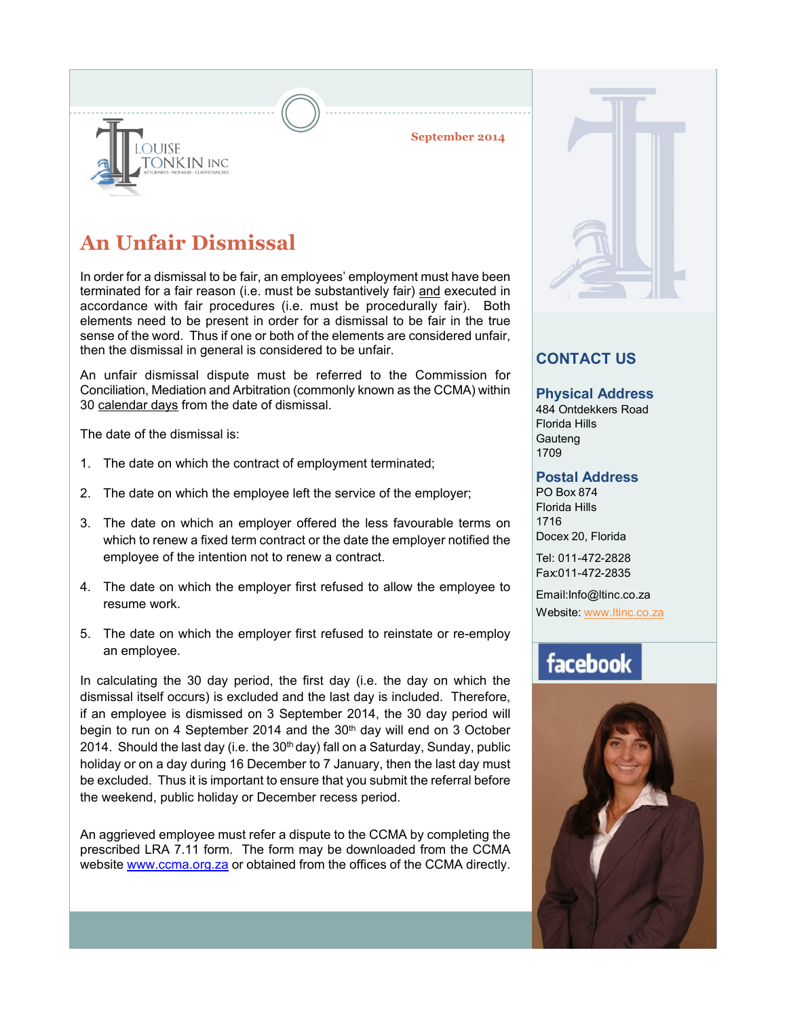#### **September 2014**



**ONKIN INC** 

**DUISE** 

In order for a dismissal to be fair, an employees' employment must have been terminated for a fair reason (i.e. must be substantively fair) and executed in accordance with fair procedures (i.e. must be procedurally fair). Both elements need to be present in order for a dismissal to be fair in the true sense of the word. Thus if one or both of the elements are considered unfair, then the dismissal in general is considered to be unfair.

An unfair dismissal dispute must be referred to the Commission for Conciliation, Mediation and Arbitration (commonly known as the CCMA) within 30 calendar days from the date of dismissal.

The date of the dismissal is:

- 1. The date on which the contract of employment terminated;
- 2. The date on which the employee left the service of the employer;
- 3. The date on which an employer offered the less favourable terms on which to renew a fixed term contract or the date the employer notified the employee of the intention not to renew a contract.
- 4. The date on which the employer first refused to allow the employee to resume work.
- 5. The date on which the employer first refused to reinstate or re-employ an employee.

In calculating the 30 day period, the first day (i.e. the day on which the dismissal itself occurs) is excluded and the last day is included. Therefore, if an employee is dismissed on 3 September 2014, the 30 day period will begin to run on 4 September 2014 and the 30<sup>th</sup> day will end on 3 October 2014. Should the last day (i.e. the 30<sup>th</sup> day) fall on a Saturday, Sunday, public holiday or on a day during 16 December to 7 January, then the last day must be excluded. Thus it is important to ensure that you submit the referral before the weekend, public holiday or December recess period.

An aggrieved employee must refer a dispute to the CCMA by completing the prescribed LRA 7.11 form. The form may be downloaded from the CCMA website www.ccma.org.za or obtained from the offices of the CCMA directly.

### **CONTACT US**

#### **Physical Address**

484 Ontdekkers Road Florida Hills **Gauteng** 1709

#### **Postal Address**

PO Box 874 Florida Hills 1716 Docex 20, Florida

Tel: 011-472-2828 Fax:011-472-2835

Email:Info@ltinc.co.za Website: www.ltinc.co.za

## facebook